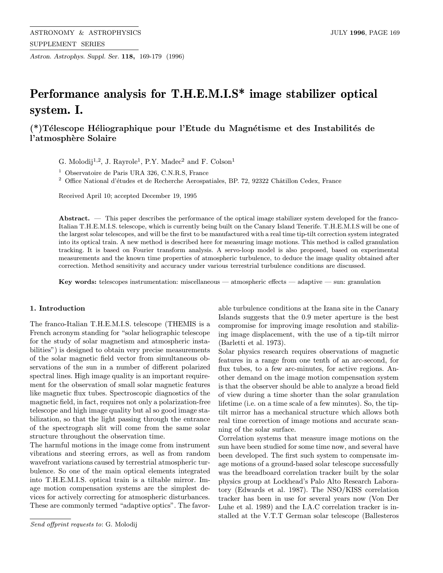Astron. Astrophys. Suppl. Ser. 118, 169-179 (1996)

# Performance analysis for T.H.E.M.I.S\* image stabilizer optical system. I.

# (\*)Télescope Héliographique pour l'Etude du Magnétisme et des Instabilités de l'atmosphère Solaire

G. Molodij<sup>1,2</sup>, J. Rayrole<sup>1</sup>, P.Y. Madec<sup>2</sup> and F. Colson<sup>1</sup>

<sup>1</sup> Observatoire de Paris URA 326, C.N.R.S, France

 $^2\,$  Office National d'études et de Recherche Aerospatiales, BP. 72, 92322 Châtillon Cedex, France

Received April 10; accepted December 19, 1995

Abstract.  $\overline{a}$  This paper describes the performance of the optical image stabilizer system developed for the franco-Italian T.H.E.M.I.S. telescope, which is currently being built on the Canary Island Tenerife. T.H.E.M.I.S will be one of the largest solar telescopes, and will be the first to be manufactured with a real time tip-tilt correction system integrated into its optical train. A new method is described here for measuring image motions. This method is called granulation tracking. It is based on Fourier transform analysis. A servo-loop model is also proposed, based on experimental measurements and the known time properties of atmospheric turbulence, to deduce the image quality obtained after correction. Method sensitivity and accuracy under various terrestrial turbulence conditions are discussed.

Key words: telescopes instrumentation: miscellaneous — atmospheric effects — adaptive — sun: granulation

#### 1. Introduction

The franco-Italian T.H.E.M.I.S. telescope (THEMIS is a French acronym standing for "solar heliographic telescope for the study of solar magnetism and atmospheric instabilities") is designed to obtain very precise measurements of the solar magnetic field vector from simultaneous observations of the sun in a number of different polarized spectral lines. High image quality is an important requirement for the observation of small solar magnetic features like magnetic flux tubes. Spectroscopic diagnostics of the magnetic field, in fact, requires not only a polarization-free telescope and high image quality but al so good image stabilization, so that the light passing through the entrance of the spectrograph slit will come from the same solar structure throughout the observation time.

The harmful motions in the image come from instrument vibrations and steering errors, as well as from random wavefront variations caused by terrestrial atmospheric turbulence. So one of the main optical elements integrated into T.H.E.M.I.S. optical train is a tiltable mirror. Image motion compensation systems are the simplest devices for actively correcting for atmospheric disturbances. These are commonly termed "adaptive optics". The favorable turbulence conditions at the Izana site in the Canary Islands suggests that the 0.9 meter aperture is the best compromise for improving image resolution and stabilizing image displacement, with the use of a tip-tilt mirror (Barletti et al. 1973).

Solar physics research requires observations of magnetic features in a range from one tenth of an arc-second, for flux tubes, to a few arc-minutes, for active regions. Another demand on the image motion compensation system is that the observer should be able to analyze a broad field of view during a time shorter than the solar granulation lifetime (i.e. on a time scale of a few minutes). So, the tiptilt mirror has a mechanical structure which allows both real time correction of image motions and accurate scanning of the solar surface.

Correlation systems that measure image motions on the sun have been studied for some time now, and several have been developed. The first such system to compensate image motions of a ground-based solar telescope successfully was the breadboard correlation tracker built by the solar physics group at Lockhead's Palo Alto Research Laboratory (Edwards et al. 1987). The NSO/KISS correlation tracker has been in use for several years now (Von Der Luhe et al. 1989) and the I.A.C correlation tracker is installed at the V.T.T German solar telescope (Ballesteros

Send offprint requests to: G. Molodij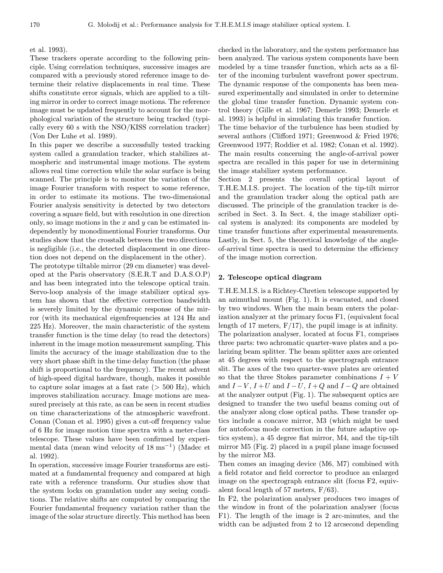#### et al. 1993).

These trackers operate according to the following principle. Using correlation techniques, successive images are compared with a previously stored reference image to determine their relative displacements in real time. These shifts constitute error signals, which are applied to a tilting mirror in order to correct image motions. The reference image must be updated frequently to account for the morphological variation of the structure being tracked (typically every 60 s with the NSO/KISS correlation tracker) (Von Der Luhe et al. 1989).

In this paper we describe a successfully tested tracking system called a granulation tracker, which stabilizes atmospheric and instrumental image motions. The system allows real time correction while the solar surface is being scanned. The principle is to monitor the variation of the image Fourier transform with respect to some reference, in order to estimate its motions. The two-dimensional Fourier analysis sensitivity is detected by two detectors covering a square field, but with resolution in one direction only, so image motions in the  $x$  and  $y$  can be estimated independently by monodimentional Fourier transforms. Our studies show that the crosstalk between the two directions is negligible (i.e., the detected displacement in one direction does not depend on the displacement in the other).

The prototype tiltable mirror (29 cm diameter) was developed at the Paris observatory (S.E.R.T and D.A.S.O.P) and has been integrated into the telescope optical train. Servo-loop analysis of the image stabilizer optical system has shown that the effective correction bandwidth is severely limited by the dynamic response of the mirror (with its mechanical eigenfrequencies at 124 Hz and 225 Hz). Moreover, the main characteristic of the system transfer function is the time delay (to read the detectors) inherent in the image motion measurement sampling. This limits the accuracy of the image stabilization due to the very short phase shift in the time delay function (the phase shift is proportional to the frequency). The recent advent of high-speed digital hardware, though, makes it possible to capture solar images at a fast rate  $(> 500 \text{ Hz})$ , which improves stabilization accuracy. Image motions are measured precisely at this rate, as can be seen in recent studies on time characterizations of the atmospheric wavefront. Conan (Conan et al. 1995) gives a cut-off frequency value of 6 Hz for image motion time spectra with a meter-class telescope. These values have been confirmed by experimental data (mean wind velocity of  $18 \text{ ms}^{-1}$ ) (Madec et al. 1992).

In operation, successive image Fourier transforms are estimated at a fundamental frequency and compared at high rate with a reference transform. Our studies show that the system locks on granulation under any seeing conditions. The relative shifts are computed by comparing the Fourier fundamental frequency variation rather than the image of the solar structure directly. This method has been

checked in the laboratory, and the system performance has been analyzed. The various system components have been modeled by a time transfer function, which acts as a filter of the incoming turbulent wavefront power spectrum. The dynamic response of the components has been measured experimentally and simulated in order to determine the global time transfer function. Dynamic system control theory (Gille et al. 1967; Demerle 1993; Demerle et al. 1993) is helpful in simulating this transfer function.

The time behavior of the turbulence has been studied by several authors (Clifford 1971; Greenwood & Fried 1976; Greenwood 1977; Roddier et al. 1982; Conan et al. 1992). The main results concerning the angle-of-arrival power spectra are recalled in this paper for use in determining the image stabilizer system performance.

Section 2 presents the overall optical layout of T.H.E.M.I.S. project. The location of the tip-tilt mirror and the granulation tracker along the optical path are discussed. The principle of the granulation tracker is described in Sect. 3. In Sect. 4, the image stabilizer optical system is analyzed: its components are modeled by time transfer functions after experimental measurements. Lastly, in Sect. 5, the theoretical knowledge of the angleof-arrival time spectra is used to determine the efficiency of the image motion correction.

#### 2. Telescope optical diagram

T.H.E.M.I.S. is a Richtey-Chretien telescope supported by an azimuthal mount (Fig. 1). It is evacuated, and closed by two windows. When the main beam enters the polarization analyzer at the primary focus F1, (equivalent focal length of 17 meters,  $F/17$ , the pupil image is at infinity. The polarization analyser, located at focus F1, comprises three parts: two achromatic quarter-wave plates and a polarizing beam splitter. The beam splitter axes are oriented at 45 degrees with respect to the spectrograph entrance slit. The axes of the two quarter-wave plates are oriented so that the three Stokes parameter combinations  $I + V$ and  $I - V$ ,  $I + U$  and  $I - U$ ,  $I + Q$  and  $I - Q$  are obtained at the analyzer output (Fig. 1). The subsequent optics are designed to transfer the two useful beams coming out of the analyzer along close optical paths. These transfer optics include a concave mirror, M3 (which might be used for autofocus mode correction in the future adaptive optics system), a 45 degree flat mirror, M4, and the tip-tilt mirror M5 (Fig. 2) placed in a pupil plane image focussed by the mirror M3.

Then comes an imaging device (M6, M7) combined with a field rotator and field corrector to produce an enlarged image on the spectrograph entrance slit (focus F2, equivalent focal length of 57 meters,  $F/63$ ).

In F2, the polarization analyser produces two images of the window in front of the polarization analyser (focus F1). The length of the image is 2 arc-minutes, and the width can be adjusted from 2 to 12 arcsecond depending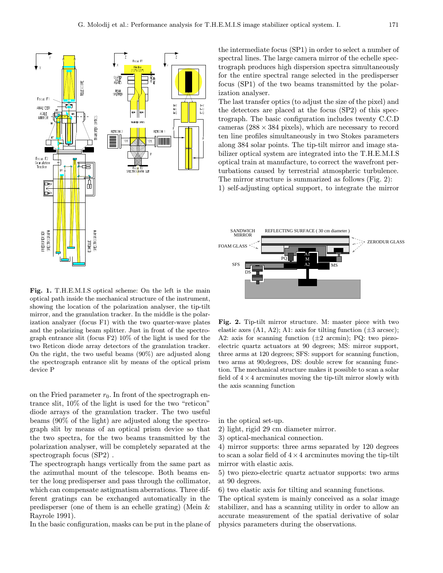

the intermediate focus (SP1) in order to select a number of spectral lines. The large camera mirror of the echelle spectrograph produces high dispersion spectra simultaneously for the entire spectral range selected in the predisperser focus (SP1) of the two beams transmitted by the polarization analyser.

The last transfer optics (to adjust the size of the pixel) and the detectors are placed at the focus (SP2) of this spectrograph. The basic configuration includes twenty C.C.D cameras  $(288 \times 384 \text{ pixels})$ , which are necessary to record ten line profiles simultaneously in two Stokes parameters along 384 solar points. The tip-tilt mirror and image stabilizer optical system are integrated into the T.H.E.M.I.S optical train at manufacture, to correct the wavefront perturbations caused by terrestrial atmospheric turbulence. The mirror structure is summarized as follows (Fig. 2): 1) self-adjusting optical support, to integrate the mirror



Fig. 1. T.H.E.M.I.S optical scheme: On the left is the main optical path inside the mechanical structure of the instrument, showing the location of the polarization analyser, the tip-tilt mirror, and the granulation tracker. In the middle is the polarization analyzer (focus F1) with the two quarter-wave plates and the polarizing beam splitter. Just in front of the spectrograph entrance slit (focus F2) 10% of the light is used for the two Reticon diode array detectors of the granulation tracker. On the right, the two useful beams (90%) are adjusted along the spectrograph entrance slit by means of the optical prism device P

on the Fried parameter  $r_0$ . In front of the spectrograph entrance slit, 10% of the light is used for the two "reticon" diode arrays of the granulation tracker. The two useful beams (90% of the light) are adjusted along the spectrograph slit by means of an optical prism device so that the two spectra, for the two beams transmitted by the polarization analyser, will be completely separated at the spectrograph focus (SP2) .

The spectrograph hangs vertically from the same part as the azimuthal mount of the telescope. Both beams enter the long predisperser and pass through the collimator, which can compensate astigmatism aberrations. Three different gratings can be exchanged automatically in the predisperser (one of them is an echelle grating) (Mein & Rayrole 1991).

In the basic configuration, masks can be put in the plane of

Fig. 2. Tip-tilt mirror structure. M: master piece with two elastic axes  $(A1, A2)$ ; A1: axis for tilting function  $(\pm 3 \text{ arcsec})$ ; A2: axis for scanning function  $(\pm 2 \text{ arcmin})$ ; PQ: two piezoelectric quartz actuators at 90 degrees; MS: mirror support, three arms at 120 degrees; SFS: support for scanning function, two arms at 90;degrees, DS: double screw for scanning function. The mechanical structure makes it possible to scan a solar field of  $4 \times 4$  arcminutes moving the tip-tilt mirror slowly with the axis scanning function

in the optical set-up.

2) light, rigid 29 cm diameter mirror.

3) optical-mechanical connection.

4) mirror supports: three arms separated by 120 degrees to scan a solar field of  $4 \times 4$  arcminutes moving the tip-tilt mirror with elastic axis.

5) two piezo-electric quartz actuator supports: two arms at 90 degrees.

6) two elastic axis for tilting and scanning functions.

The optical system is mainly conceived as a solar image stabilizer, and has a scanning utility in order to allow an accurate measurement of the spatial derivative of solar physics parameters during the observations.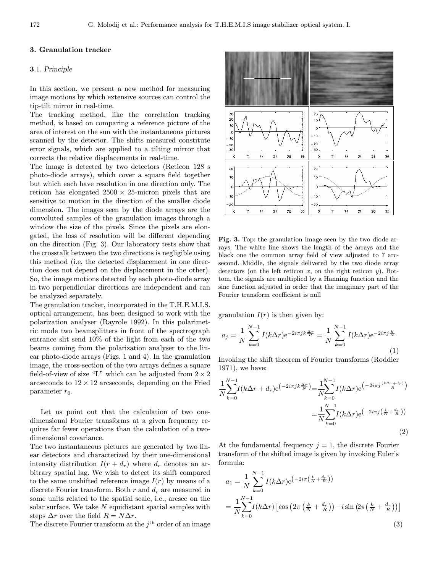# 3. Granulation tracker

## 3.1. Principle

In this section, we present a new method for measuring image motions by which extensive sources can control the tip-tilt mirror in real-time.

The tracking method, like the correlation tracking method, is based on comparing a reference picture of the area of interest on the sun with the instantaneous pictures scanned by the detector. The shifts measured constitute error signals, which are applied to a tilting mirror that corrects the relative displacements in real-time.

The image is detected by two detectors (Reticon 128 s photo-diode arrays), which cover a square field together but which each have resolution in one direction only. The reticon has elongated  $2500 \times 25$ -micron pixels that are sensitive to motion in the direction of the smaller diode dimension. The images seen by the diode arrays are the convoluted samples of the granulation images through a window the size of the pixels. Since the pixels are elongated, the loss of resolution will be different depending on the direction (Fig. 3). Our laboratory tests show that the crosstalk between the two directions is negligible using this method (i.e, the detected displacement in one direction does not depend on the displacement in the other). So, the image motions detected by each photo-diode array in two perpendicular directions are independent and can be analyzed separately.

The granulation tracker, incorporated in the T.H.E.M.I.S. optical arrangement, has been designed to work with the polarization analyser (Rayrole 1992). In this polarimetric mode two beamsplitters in front of the spectrograph entrance slit send 10% of the light from each of the two beams coming from the polarization analyser to the linear photo-diode arrays (Figs. 1 and 4). In the granulation image, the cross-section of the two arrays defines a square field-of-view of size "L" which can be adjusted from  $2 \times 2$ arcseconds to  $12 \times 12$  arcseconds, depending on the Fried parameter  $r_0$ .

Let us point out that the calculation of two onedimensional Fourier transforms at a given frequency requires far fewer operations than the calculation of a twodimensional covariance.

The two instantaneous pictures are generated by two linear detectors and characterized by their one-dimensional intensity distribution  $I(r + d_r)$  where  $d_r$  denotes an arbitrary spatial lag. We wish to detect its shift compared to the same unshifted reference image  $I(r)$  by means of a discrete Fourier transform. Both  $r$  and  $d_r$  are measured in some units related to the spatial scale, i.e., arcsec on the solar surface. We take N equidistant spatial samples with steps  $\Delta r$  over the field  $R = N \Delta r$ .

The discrete Fourier transform at the  $j<sup>th</sup>$  order of an image



Fig. 3. Top: the granulation image seen by the two diode arrays. The white line shows the length of the arrays and the black one the common array field of view adjusted to 7 arcsecond. Middle, the signals delivered by the two diode array detectors (on the left reticon x, on the right reticon y). Bottom, the signals are multiplied by a Hanning function and the sine function adjusted in order that the imaginary part of the Fourier transform coefficient is null

granulation  $I(r)$  is then given by:

$$
a_j = \frac{1}{N} \sum_{k=0}^{N-1} I(k\Delta r) e^{-2i\pi jk\frac{\Delta r}{R}} = \frac{1}{N} \sum_{k=0}^{N-1} I(k\Delta r) e^{-2i\pi j\frac{k}{N}}
$$
(1)

Invoking the shift theorem of Fourier transforms (Roddier 1971), we have:

$$
\frac{1}{N} \sum_{k=0}^{N-1} I(k\Delta r + d_r) e^{(-2i\pi j k \frac{\Delta r}{N})} = \frac{1}{N} \sum_{k=0}^{N-1} I(k\Delta r) e^{(-2i\pi j \frac{(k\Delta r + d_r)}{R})}
$$
\n
$$
= \frac{1}{N} \sum_{k=0}^{N-1} I(k\Delta r) e^{(-2i\pi j \left(\frac{k}{N} + \frac{d_r}{R}\right))}
$$
\n(2)

At the fundamental frequency  $j = 1$ , the discrete Fourier transform of the shifted image is given by invoking Euler's formula:

$$
a_1 = \frac{1}{N} \sum_{k=0}^{N-1} I(k\Delta r) e^{-2i\pi \left(\frac{k}{N} + \frac{d_r}{R}\right)}
$$
  
= 
$$
\frac{1}{N} \sum_{k=0}^{N-1} I(k\Delta r) \left[ \cos \left(2\pi \left(\frac{k}{N} + \frac{d_r}{R}\right)\right) - i \sin \left(2\pi \left(\frac{k}{N} + \frac{d_r}{R}\right)\right) \right]
$$
  
(3)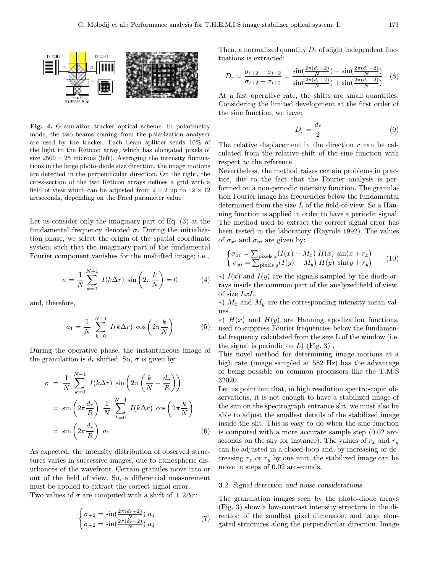

Fig. 4. Granulation tracker optical scheme. In polarimetry mode, the two beams coming from the polarization analyser are used by the tracker. Each beam splitter sends 10% of the light to the Reticon array, which has elongated pixels of size  $2500 \times 25$  microns (left). Averaging the intensity fluctuations in the large photo-diode size direction, the image motions are detected in the perpendicular direction. On the right, the cross-section of the two Reticon arrays defines a grid with a field of view which can be adjusted from  $2 \times 2$  up to  $12 \times 12$ arcseconds, depending on the Fried parameter value

Let us consider only the imaginary part of Eq. (3) at the fundamental frequency denoted  $\sigma$ . During the initialization phase, we select the origin of the spatial coordinate system such that the imaginary part of the fundamental Fourier component vanishes for the unshifted image; i.e.,

$$
\sigma = \frac{1}{N} \sum_{k=0}^{N-1} I(k\Delta r) \sin\left(2\pi \frac{k}{N}\right) = 0 \tag{4}
$$

and, therefore,

$$
a_1 = \frac{1}{N} \sum_{k=0}^{N-1} I(k\Delta r) \cos\left(2\pi \frac{k}{N}\right) \tag{5}
$$

During the operative phase, the instantaneous image of the granulation is  $d_r$  shifted. So,  $\sigma$  is given by:

$$
\sigma = \frac{1}{N} \sum_{k=0}^{N-1} I(k\Delta r) \sin\left(2\pi \left(\frac{k}{N} + \frac{d_r}{R}\right)\right)
$$
  
=  $\sin\left(2\pi \frac{d_r}{R}\right) \frac{1}{N} \sum_{k=0}^{N-1} I(k\Delta r) \cos\left(2\pi \frac{k}{N}\right)$   
=  $\sin\left(2\pi \frac{d_r}{R}\right) a_1$  (6)

As expected, the intensity distribution of observed structures varies in successive images, due to atmospheric disurbances of the wavefront. Certain granules move into or out of the field of view. So, a differential measurement must be applied to extract the correct signal error. Two values of  $\sigma$  are computed with a shift of  $\pm 2\Delta r$ :

$$
\begin{cases}\n\sigma_{+2} = \sin(\frac{2\pi(d_r+2)}{N}) a_1 \\
\sigma_{-2} = \sin(\frac{2\pi(d_r-2)}{N}) a_1\n\end{cases}
$$
\n(7)

Then, a normalized quantity  $D_r$  of slight independent fluctuations is extracted:

$$
D_r = \frac{\sigma_{i+2} - \sigma_{i-2}}{\sigma_{i+2} + \sigma_{i+2}} = \frac{\sin(\frac{2\pi(d_r + 2)}{N}) - \sin(\frac{2\pi(d_r - 2)}{N})}{\sin(\frac{2\pi(d_r + 2)}{N}) + \sin(\frac{2\pi(d_r - 2)}{N})} \quad (8)
$$

At a fast operative rate, the shifts are small quantities. Considering the limited development at the first order of the sine function, we have:

$$
D_r = \frac{d_r}{2} \tag{9}
$$

The relative displacement in the direction  $r$  can be calculated from the relative shift of the sine function with respect to the reference.

Nevertheless, the method raises certain problems in practice, due to the fact that the Fourier analysis is performed on a non-periodic intensity function. The granulation Fourier image has frequencies below the fundamental determined from the size L of the field-of-view. So a Hanning function is applied in order to have a periodic signal. The method used to extract the correct signal error has been tested in the laboratory (Rayrole 1992). The values of  $\sigma_{xi}$  and  $\sigma_{yi}$  are given by:

$$
\begin{cases} \sigma_{xi} = \sum_{\text{pixels } x} (I(x) - M_x) \ H(x) \ \sin(x + r_x) \\ \sigma_{yi} = \sum_{\text{pixels } y} (I(y) - M_y) \ H(y) \ \sin(y + r_y) \end{cases} \tag{10}
$$

 $\ast$ )  $I(x)$  and  $I(y)$  are the signals sampled by the diode arrays inside the common part of the analyzed field of view, of size LxL.

 $*$ )  $M_x$  and  $M_y$  are the corresponding intensity mean values.

 $*$ )  $H(x)$  and  $H(y)$  are Hanning apodization functions, used to suppress Fourier frequencies below the fundamental frequency calculated from the size L of the window (i.e, the signal is periodic on  $L$ ) (Fig. 3).

This novel method for determining image motions at a high rate (image sampled at 582 Hz) has the advantage of being possible on common processors like the T.M.S 32020.

Let us point out that, in high resolution spectroscopic observations, it is not enough to have a stabilized image of the sun on the spectrograph entrance slit, we must also be able to adjust the smallest details of the stabilized image inside the slit. This is easy to do when the sine function is computed with a more accurate sample step (0.02 arcseconds on the sky for instance). The values of  $r_x$  and  $r_y$ can be adjusted in a closed-loop and, by increasing or decreasing  $r_x$  or  $r_y$  by one unit, the stabilized image can be move in steps of 0.02 arcseconds.

#### 3.2. Signal detection and noise considerations

The granulation images seen by the photo-diode arrays (Fig. 3) show a low-contrast intensity structure in the direction of the smallest pixel dimension, and large elongated structures along the perpendicular direction. Image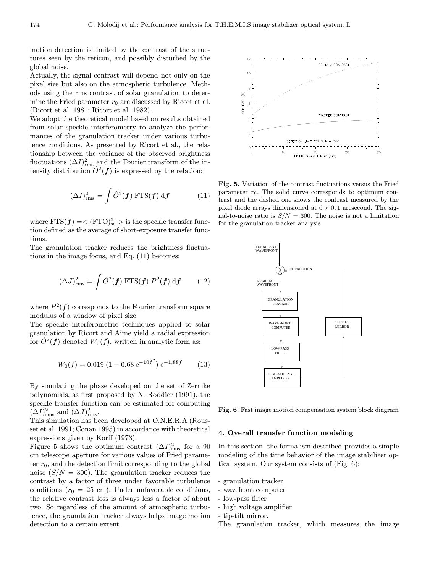motion detection is limited by the contrast of the structures seen by the reticon, and possibly disturbed by the global noise.

Actually, the signal contrast will depend not only on the pixel size but also on the atmospheric turbulence. Methods using the rms contrast of solar granulation to determine the Fried parameter  $r_0$  are discussed by Ricort et al. (Ricort et al. 1981; Ricort et al. 1982).

We adopt the theoretical model based on results obtained from solar speckle interferometry to analyze the performances of the granulation tracker under various turbulence conditions. As presented by Ricort et al., the relationship between the variance of the observed brightness fluctuations  $(\Delta I)_{\text{rms}}^2$  and the Fourier transform of the intensity distribution  $\hat{O}^2(f)$  is expressed by the relation:

$$
(\Delta I)_{\text{rms}}^2 = \int \hat{O}^2(\boldsymbol{f}) \, \text{FTS}(\boldsymbol{f}) \, \text{d}\boldsymbol{f} \tag{11}
$$

where  $FTS(\textbf{\textit{f}}\!\,) = < (FTO)_{\mathrm{se}}^2 > \mathrm{is}$  the speckle transfer function defined as the average of short-exposure transfer functions.

The granulation tracker reduces the brightness fluctuations in the image focus, and Eq. (11) becomes:

$$
(\Delta J)_{\text{rms}}^2 = \int \hat{O}^2(\boldsymbol{f}) \, \text{FTS}(\boldsymbol{f}) \, P^2(\boldsymbol{f}) \, \text{d}\boldsymbol{f} \qquad (12)
$$

where  $P^2(f)$  corresponds to the Fourier transform square modulus of a window of pixel size.

The speckle interferometric techniques applied to solar granulation by Ricort and Aime yield a radial expression for  $\hat{O}^2(f)$  denoted  $W_0(f)$ , written in analytic form as:

$$
W_0(f) = 0.019 (1 - 0.68 e^{-10f^2}) e^{-1,88f}
$$
 (13)

By simulating the phase developed on the set of Zernike polynomials, as first proposed by N. Roddier (1991), the speckle transfer function can be estimated for computing  $(\Delta I)_{\text{rms}}^2$  and  $(\Delta J)_{\text{rms}}^2$ .

This simulation has been developed at O.N.E.R.A (Rousset et al. 1991; Conan 1995) in accordance with theoretical expressions given by Korff (1973).

Figure 5 shows the optimum contrast  $(\Delta I)_{\text{rms}}^2$  for a 90 cm telescope aperture for various values of Fried parameter  $r_0$ , and the detection limit corresponding to the global noise  $(S/N = 300)$ . The granulation tracker reduces the contrast by a factor of three under favorable turbulence conditions ( $r_0 = 25$  cm). Under unfavorable conditions, the relative contrast loss is always less a factor of about two. So regardless of the amount of atmospheric turbulence, the granulation tracker always helps image motion detection to a certain extent.

Fig. 5. Variation of the contrast fluctuations versus the Fried parameter  $r_0$ . The solid curve corresponds to optimum contrast and the dashed one shows the contrast measured by the pixel diode arrays dimensioned at  $6 \times 0, 1$  arcsecond. The signal-to-noise ratio is  $S/N = 300$ . The noise is not a limitation for the granulation tracker analysis



Fig. 6. Fast image motion compensation system block diagram

#### 4. Overall transfer function modeling

In this section, the formalism described provides a simple modeling of the time behavior of the image stabilizer optical system. Our system consists of (Fig. 6):

- granulation tracker
- wavefront computer
- low-pass filter
- high voltage amplifier
- tip-tilt mirror.
- The granulation tracker, which measures the image

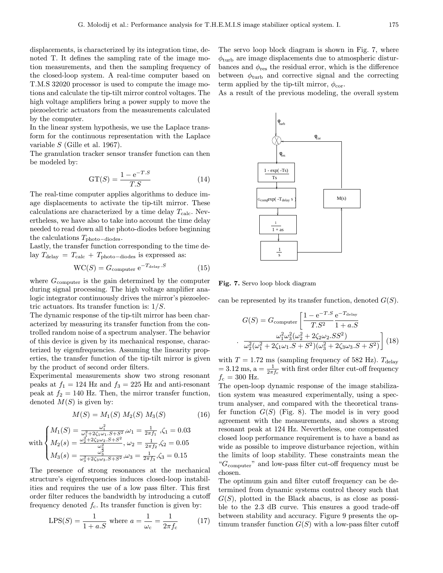displacements, is characterized by its integration time, denoted T. It defines the sampling rate of the image motion measurements, and then the sampling frequency of the closed-loop system. A real-time computer based on T.M.S 32020 processor is used to compute the image motions and calculate the tip-tilt mirror control voltages. The high voltage amplifiers bring a power supply to move the piezoelectric actuators from the measurements calculated by the computer.

In the linear system hypothesis, we use the Laplace transform for the continuous representation with the Laplace variable S (Gille et al. 1967).

The granulation tracker sensor transfer function can then be modeled by:

$$
GT(S) = \frac{1 - e^{-T.S}}{T.S}
$$
\n
$$
(14)
$$

The real-time computer applies algorithms to deduce image displacements to activate the tip-tilt mirror. These calculations are characterized by a time delay  $T_{\text{calc}}$ . Nevertheless, we have also to take into account the time delay needed to read down all the photo-diodes before beginning the calculations  $T_{\text{photo}-\text{diodes}}$ .

Lastly, the transfer function corresponding to the time delay  $T_{\text{delay}} = T_{\text{calc}} + T_{\text{photo}-\text{diodes}}$  is expressed as:

$$
WC(S) = Gcomputer e-Tdelay.S
$$
 (15)

where  $G_{\text{computer}}$  is the gain determined by the computer during signal processing. The high voltage amplifier analogic integrator continuously drives the mirror's piezoelectric actuators. Its transfer function is:  $1/S$ .

The dynamic response of the tip-tilt mirror has been characterized by measuring its transfer function from the controlled random noise of a spectrum analyser. The behavior of this device is given by its mechanical response, characterized by eigenfrequencies. Assuming the linearity properties, the transfer function of the tip-tilt mirror is given by the product of second order filters.

Experimental measurements show two strong resonant peaks at  $f_1 = 124$  Hz and  $f_3 = 225$  Hz and anti-resonant peak at  $f_2 = 140$  Hz. Then, the mirror transfer function, denoted  $M(S)$  is given by:

$$
M(S) = M_1(S) M_2(S) M_3(S)
$$
 (16)

with 
$$
\begin{cases} M_1(S) = \frac{\omega_1^2}{\omega_1^2 + 2\zeta_1\omega_1.S + S^2}, \omega_1 = \frac{1}{2\pi f_1}, \zeta_1 = 0.03\\ M_2(s) = \frac{\omega_2^2 + 2\zeta_2\omega_2.S + S^2}{\omega_2^2}, \omega_2 = \frac{1}{2\pi f_2}, \zeta_2 = 0.05\\ M_3(s) = \frac{\omega_3^2}{\omega_3^2 + 2\zeta_3\omega_3.S + S^2}, \omega_3 = \frac{1}{2\pi f_3}, \zeta_3 = 0.15 \end{cases}
$$

The presence of strong resonances at the mechanical structure's eigenfrequencies induces closed-loop instabilities and requires the use of a low pass filter. This first order filter reduces the bandwidth by introducing a cutoff frequency denoted  $f_c$ . Its transfer function is given by:

LPS(S) = 
$$
\frac{1}{1 + a.S}
$$
 where  $a = \frac{1}{\omega_c} = \frac{1}{2\pi f_c}$  (17)

The servo loop block diagram is shown in Fig. 7, where  $\phi_{\text{turb}}$  are image displacements due to atmospheric disturbances and  $\phi_{\text{res}}$  the residual error, which is the difference between  $\phi_{\text{turb}}$  and corrective signal and the correcting term applied by the tip-tilt mirror,  $\phi_{\text{cor}}$ .

As a result of the previous modeling, the overall system



Fig. 7. Servo loop block diagram

can be represented by its transfer function, denoted  $G(S)$ .

$$
G(S) = G_{\text{computer}} \left[ \frac{1 - e^{-T.S}}{T.S^2} \frac{e^{-T_{\text{delay}}}}{1 + a.S} \right]
$$

$$
\frac{\omega_1^2 \omega_3^2 (\omega_2^2 + 2\zeta_2 \omega_2.SS^2)}{\omega_2^2 (\omega_1^2 + 2\zeta_1 \omega_1.S + S^2)(\omega_3^2 + 2\zeta_3 \omega_3.S + S^2)} \right] (18)
$$

with  $T = 1.72$  ms (sampling frequency of 582 Hz).  $T_{\text{delay}}$  $= 3.12 \text{ ms}, \text{a} = \frac{1}{2\pi f_c}$  with first order filter cut-off frequency  $f_c = 300$  Hz.

The open-loop dynamic response of the image stabilization system was measured experimentally, using a spectrum analyser, and compared with the theoretical transfer function  $G(S)$  (Fig. 8). The model is in very good agreement with the measurements, and shows a strong resonant peak at 124 Hz. Nevertheless, one compensated closed loop performance requirement is to have a band as wide as possible to improve disturbance rejection, within the limits of loop stability. These constraints mean the " $G<sub>computer</sub>$ " and low-pass filter cut-off frequency must be chosen.

The optimum gain and filter cutoff frequency can be determined from dynamic systems control theory such that  $G(S)$ , plotted in the Black abacus, is as close as possible to the 2.3 dB curve. This ensures a good trade-off between stability and accuracy. Figure 9 presents the optimum transfer function  $G(S)$  with a low-pass filter cutoff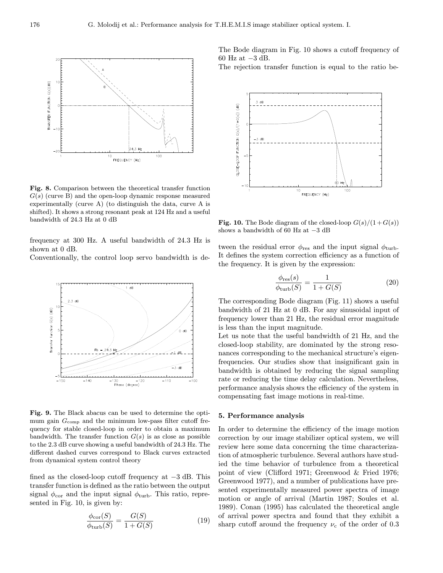

Fig. 8. Comparison between the theoretical transfer function  $G(s)$  (curve B) and the open-loop dynamic response measured experimentally (curve A) (to distinguish the data, curve A is shifted). It shows a strong resonant peak at 124 Hz and a useful bandwidth of 24.3 Hz at 0 dB

frequency at 300 Hz. A useful bandwidth of 24.3 Hz is shown at 0 dB.

Conventionally, the control loop servo bandwidth is de-



Fig. 9. The Black abacus can be used to determine the optimum gain  $G_{\text{comp}}$  and the minimum low-pass filter cutoff frequency for stable closed-loop in order to obtain a maximum bandwidth. The transfer function  $G(s)$  is as close as possible to the 2.3 dB curve showing a useful bandwidth of 24.3 Hz. The different dashed curves correspond to Black curves extracted from dynamical system control theory

fined as the closed-loop cutoff frequency at −3 dB. This transfer function is defined as the ratio between the output signal  $\phi_{\text{cor}}$  and the input signal  $\phi_{\text{turb}}$ . This ratio, represented in Fig. 10, is given by:

$$
\frac{\phi_{\text{cor}}(S)}{\phi_{\text{turb}}(S)} = \frac{G(S)}{1 + G(S)}\tag{19}
$$

The Bode diagram in Fig. 10 shows a cutoff frequency of 60 Hz at −3 dB.

The rejection transfer function is equal to the ratio be-



Fig. 10. The Bode diagram of the closed-loop  $G(s)/(1+G(s))$ shows a bandwidth of 60 Hz at −3 dB

tween the residual error  $\phi_{\text{res}}$  and the input signal  $\phi_{\text{turb}}$ . It defines the system correction efficiency as a function of the frequency. It is given by the expression:

$$
\frac{\phi_{\text{res}}(s)}{\phi_{\text{turb}}(S)} = \frac{1}{1 + G(S)}\tag{20}
$$

The corresponding Bode diagram (Fig. 11) shows a useful bandwidth of 21 Hz at 0 dB. For any sinusoidal input of frequency lower than 21 Hz, the residual error magnitude is less than the input magnitude.

Let us note that the useful bandwidth of 21 Hz, and the closed-loop stability, are dominated by the strong resonances corresponding to the mechanical structure's eigenfrequencies. Our studies show that insignificant gain in bandwidth is obtained by reducing the signal sampling rate or reducing the time delay calculation. Nevertheless, performance analysis shows the efficiency of the system in compensating fast image motions in real-time.

#### 5. Performance analysis

In order to determine the efficiency of the image motion correction by our image stabilizer optical system, we will review here some data concerning the time characterization of atmospheric turbulence. Several authors have studied the time behavior of turbulence from a theoretical point of view (Clifford 1971; Greenwood & Fried 1976; Greenwood 1977), and a number of publications have presented experimentally measured power spectra of image motion or angle of arrival (Martin 1987; Soules et al. 1989). Conan (1995) has calculated the theoretical angle of arrival power spectra and found that they exhibit a sharp cutoff around the frequency  $\nu_c$  of the order of 0.3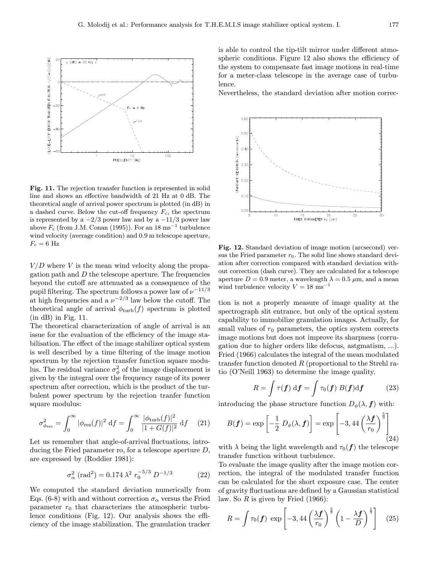

Fig. 11. The rejection transfer function is represented in solid line and shows an effective bandwidth of 21 Hz at 0 dB. The theoretical angle of arrival power spectrum is plotted (in dB) in a dashed curve. Below the cut-off frequency  $F_c$ , the spectrum is represented by a  $-2/3$  power law and by a  $-11/3$  power law above  $F_c$  (from J.M. Conan (1995)). For an 18 ms<sup>-1</sup> turbulence wind velocity (average condition) and 0.9 m telescope aperture,  $F_c = 6$  Hz

 $V/D$  where V is the mean wind velocity along the propagation path and  $D$  the telescope aperture. The frequencies beyond the cutoff are attenuated as a consequence of the pupil filtering. The spectrum follows a power law of  $\nu^{-11/3}$ at high frequencies and a  $\nu^{-2/3}$  law below the cutoff. The theoretical angle of arrival  $\phi_{\text{turb}}(f)$  spectrum is plotted (in dB) in Fig. 11.

The theoretical characterization of angle of arrival is an issue for the evaluation of the efficiency of the image stabilisation. The effect of the image stabilizer optical system is well described by a time filtering of the image motion spectrum by the rejection transfer function square modulus. The residual variance  $\sigma_{\phi}^2$  of the image displacement is given by the integral over the frequency range of its power spectrum after correction, which is the product of the turbulent power spectrum by the rejection tranfer function square modulus:

$$
\sigma_{\phi_{\rm res}}^2 = \int_0^\infty |\phi_{\rm res}(f)|^2 \, \mathrm{d}f = \int_0^\infty \frac{|\phi_{\rm turb}(f)|^2}{|1 + G(f)|^2} \, \mathrm{d}f \tag{21}
$$

Let us remember that angle-of-arrival fluctuations, introducing the Fried parameter ro, for a telescope aperture D, are expressed by (Roddier 1981):

$$
\sigma_{\alpha}^{2} \text{ (rad}^{2}) = 0.174 \lambda^{2} r_{0}^{-5/3} D^{-1/3}
$$
 (22)

We computed the standard deviation numerically from Eqs. (6-8) with and without correction  $\sigma_{\alpha}$  versus the Fried parameter  $r_0$  that characterizes the atmospheric turbulence conditions (Fig. 12). Our analysis shows the efficiency of the image stabilization. The granulation tracker is able to control the tip-tilt mirror under different atmospheric conditions. Figure 12 also shows the efficiency of the system to compensate fast image motions in real-time for a meter-class telescope in the average case of turbulence.

Nevertheless, the standard deviation after motion correc-



Fig. 12. Standard deviation of image motion (arcsecond) versus the Fried parameter  $r_0$ . The solid line shows standard deviation after correction compared with standard deviation without correction (dash curve). They are calculated for a telescope aperture  $D = 0.9$  meter, a wavelength  $\lambda = 0.5$   $\mu$ m, and a mean wind turbulence velocity  $V = 18 \text{ ms}^{-1}$ 

tion is not a properly measure of image quality at the spectrograph slit entrance, but only of the optical system capability to immobilize granulation images. Actually, for small values of  $r_0$  parameters, the optics system corrects image motions but does not improve its sharpness (corrugation due to higher orders like defocus, astgmatism, ...). Fried (1966) calculates the integral of the mean modulated transfer function denoted R (proportional to the Strehl ratio (O'Neill 1963) to determine the image quality.

$$
R = \int \tau(\boldsymbol{f}) \, \mathrm{d}\boldsymbol{f} = \int \tau_0(\boldsymbol{f}) \, B(\boldsymbol{f}) \mathrm{d}\boldsymbol{f} \tag{23}
$$

introducing the phase structure function  $D_{\phi}(\lambda, f)$  with:

$$
B(\boldsymbol{f}) = \exp\left[-\frac{1}{2} D_{\phi}(\lambda, \boldsymbol{f})\right] = \exp\left[-3, 44\left(\frac{\lambda \boldsymbol{f}}{r_0}\right)^{\frac{5}{3}}\right]
$$
(24)

with  $\lambda$  being the light wavelength and  $\tau_0(f)$  the telescope transfer function without turbulence.

To evaluate the image quality after the image motion correction, the integral of the modulated transfer function can be calculated for the short exposure case. The center of gravity fluctuations are defined by a Gaussian statistical law. So  $R$  is given by Fried (1966):

$$
R = \int \tau_0(\boldsymbol{f}) \, \exp\left[-3, 44\left(\frac{\lambda \boldsymbol{f}}{r_0}\right)^{\frac{5}{3}} \left(1 - \frac{\lambda \boldsymbol{f}}{D}\right)^{\frac{1}{3}}\right] \quad (25)
$$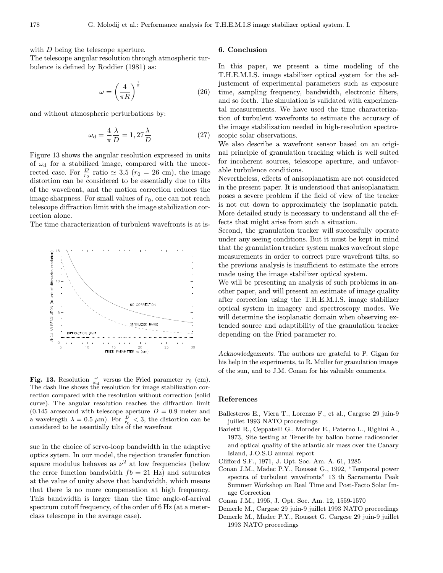with D being the telescope aperture.

The telescope angular resolution through atmospheric turbulence is defined by Roddier (1981) as:

$$
\omega = \left(\frac{4}{\pi R}\right)^{\frac{1}{2}}\tag{26}
$$

and without atmospheric perturbations by:

$$
\omega_{\rm d} = \frac{4}{\pi} \frac{\lambda}{D} = 1,27 \frac{\lambda}{D} \tag{27}
$$

Figure 13 shows the angular resolution expressed in units of  $\omega_{d}$  for a stabilized image, compared with the uncorrected case. For  $\frac{D}{r_0}$  ratio  $\simeq$  3,5 ( $r_0 = 26$  cm), the image distortion can be considered to be essentially due to tilts of the wavefront, and the motion correction reduces the image sharpness. For small values of  $r_0$ , one can not reach telescope diffraction limit with the image stabilization correction alone.

The time characterization of turbulent wavefronts is at is-



Fig. 13. Resolution  $\frac{\omega}{\omega_d}$  versus the Fried parameter  $r_0$  (cm). The dash line shows the resolution for image stabilization correction compared with the resolution without correction (solid curve). The angular resolution reaches the diffraction limit  $(0.145 \text{ arcsecond with telescope aperture } D = 0.9 \text{ meter and}$ a wavelength  $\lambda = 0.5 \ \mu \text{m}$ ). For  $\frac{D}{r_0} < 3$ , the distortion can be considered to be essentially tilts of the wavefront

sue in the choice of servo-loop bandwidth in the adaptive optics sytem. In our model, the rejection transfer function square modulus behaves as  $\nu^2$  at low frequencies (below the error function bandwidth  $fb = 21$  Hz) and saturates at the value of unity above that bandwidth, which means that there is no more compensation at high frequency. This bandwidth is larger than the time angle-of-arrival spectrum cutoff frequency, of the order of 6 Hz (at a meterclass telescope in the average case).

## 6. Conclusion

In this paper, we present a time modeling of the T.H.E.M.I.S. image stabilizer optical system for the adjustement of experimental parameters such as exposure time, sampling frequency, bandwidth, electronic filters, and so forth. The simulation is validated with experimental measurements. We have used the time characterization of turbulent wavefronts to estimate the accuracy of the image stabilization needed in high-resolution spectroscopic solar observations.

We also describe a wavefront sensor based on an original principle of granulation tracking which is well suited for incoherent sources, telescope aperture, and unfavorable turbulence conditions.

Nevertheless, effects of anisoplanatism are not considered in the present paper. It is understood that anisoplanatism poses a severe problem if the field of view of the tracker is not cut down to approximately the isoplanatic patch. More detailed study is necessary to understand all the effects that might arise from such a situation.

Second, the granulation tracker will successfully operate under any seeing conditions. But it must be kept in mind that the granulation tracker system makes wavefront slope measurements in order to correct pure wavefront tilts, so the previous analysis is insufficient to estimate the errors made using the image stabilizer optical system.

We will be presenting an analysis of such problems in another paper, and will present an estimate of image quality after correction using the T.H.E.M.I.S. image stabilizer optical system in imagery and spectroscopy modes. We will determine the isoplanatic domain when observing extended source and adaptibility of the granulation tracker depending on the Fried parameter ro.

Acknowledgements. The authors are grateful to P. Gigan for his help in the experiments, to R. Muller for granulation images of the sun, and to J.M. Conan for his valuable comments.

#### References

- Ballesteros E., Viera T., Lorenzo F., et al., Cargese 29 juin-9 juillet 1993 NATO proceedings
- Barletti R., Ceppatelli G., Moroder E., Paterno L., Righini A., 1973, Site testing at Tenerife by ballon borne radiosonder and optical quality of the atlantic air mass over the Canary Island, J.O.S.O annual report
- Clifford S.F., 1971, J. Opt. Soc. Am. A. 61, 1285
- Conan J.M., Madec P.Y., Rousset G., 1992, "Temporal power spectra of turbulent wavefronts" 13 th Sacramento Peak Summer Workshop on Real Time and Post-Facto Solar Image Correction
- Conan J.M., 1995, J. Opt. Soc. Am. 12, 1559-1570
- Demerle M., Cargese 29 juin-9 juillet 1993 NATO proceedings Demerle M., Madec P.Y., Rousset G. Cargese 29 juin-9 juillet 1993 NATO proceedings